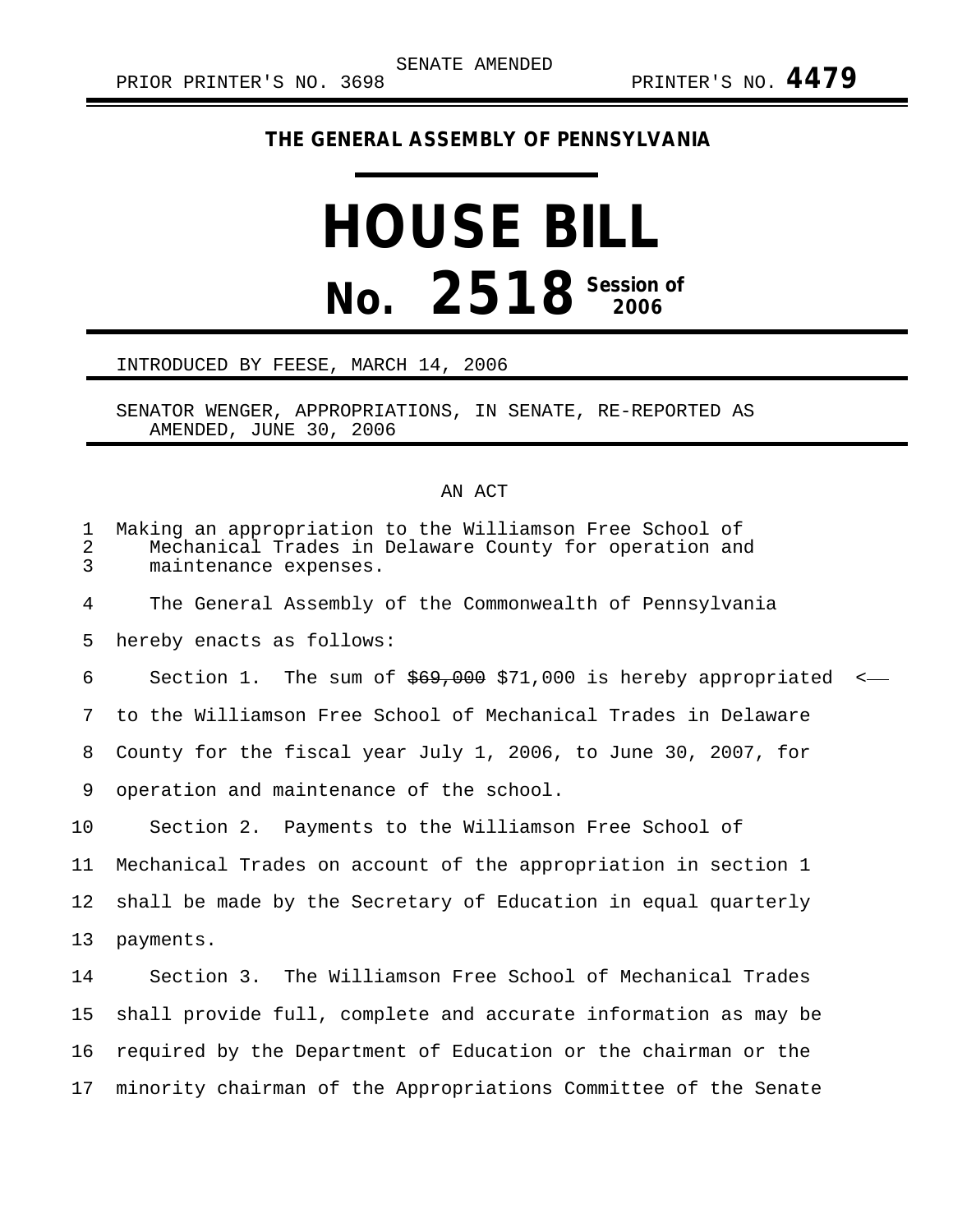## **THE GENERAL ASSEMBLY OF PENNSYLVANIA**

## **HOUSE BILL No.** 2518<sup> Session of</sup>

## INTRODUCED BY FEESE, MARCH 14, 2006

SENATOR WENGER, APPROPRIATIONS, IN SENATE, RE-REPORTED AS AMENDED, JUNE 30, 2006

## AN ACT

| $\mathbf 1$<br>$\overline{2}$<br>$\overline{3}$ | Making an appropriation to the Williamson Free School of<br>Mechanical Trades in Delaware County for operation and<br>maintenance expenses. |
|-------------------------------------------------|---------------------------------------------------------------------------------------------------------------------------------------------|
| 4                                               | The General Assembly of the Commonwealth of Pennsylvania                                                                                    |
| 5                                               | hereby enacts as follows:                                                                                                                   |
| 6                                               | Section 1. The sum of $$69,000$ \$71,000 is hereby appropriated<br>$\prec$                                                                  |
| 7                                               | to the Williamson Free School of Mechanical Trades in Delaware                                                                              |
| 8                                               | County for the fiscal year July 1, 2006, to June 30, 2007, for                                                                              |
| 9                                               | operation and maintenance of the school.                                                                                                    |
| 10                                              | Section 2. Payments to the Williamson Free School of                                                                                        |
| 11                                              | Mechanical Trades on account of the appropriation in section 1                                                                              |
| 12                                              | shall be made by the Secretary of Education in equal quarterly                                                                              |
| 13                                              | payments.                                                                                                                                   |
| 14                                              | Section 3. The Williamson Free School of Mechanical Trades                                                                                  |
| 15                                              | shall provide full, complete and accurate information as may be                                                                             |
| 16                                              | required by the Department of Education or the chairman or the                                                                              |
| 17                                              | minority chairman of the Appropriations Committee of the Senate                                                                             |
|                                                 |                                                                                                                                             |